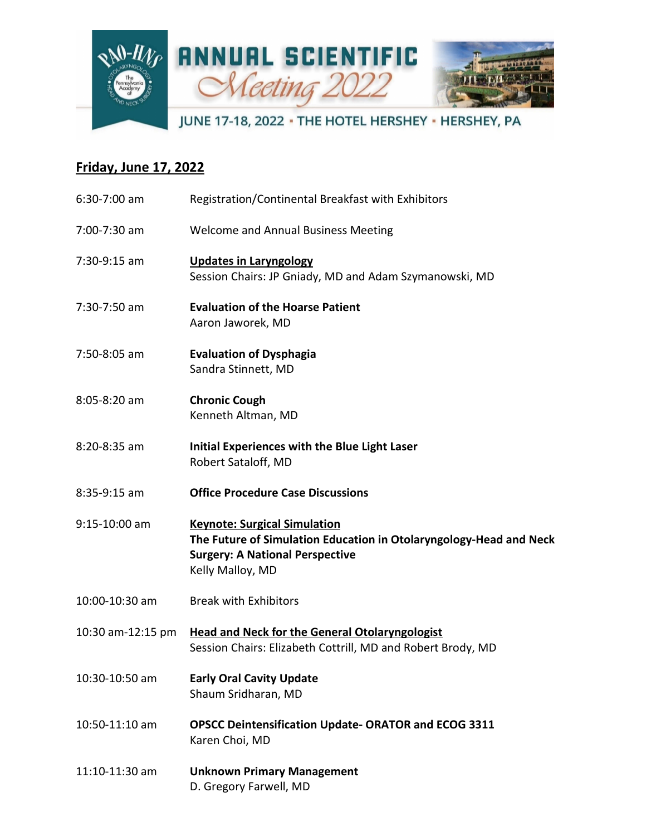

## **Friday, June 17, 2022**

| $6:30-7:00$ am    | Registration/Continental Breakfast with Exhibitors                                                                                                                      |
|-------------------|-------------------------------------------------------------------------------------------------------------------------------------------------------------------------|
| 7:00-7:30 am      | Welcome and Annual Business Meeting                                                                                                                                     |
| 7:30-9:15 am      | <b>Updates in Laryngology</b><br>Session Chairs: JP Gniady, MD and Adam Szymanowski, MD                                                                                 |
| 7:30-7:50 am      | <b>Evaluation of the Hoarse Patient</b><br>Aaron Jaworek, MD                                                                                                            |
| 7:50-8:05 am      | <b>Evaluation of Dysphagia</b><br>Sandra Stinnett, MD                                                                                                                   |
| 8:05-8:20 am      | <b>Chronic Cough</b><br>Kenneth Altman, MD                                                                                                                              |
| 8:20-8:35 am      | Initial Experiences with the Blue Light Laser<br>Robert Sataloff, MD                                                                                                    |
| $8:35-9:15$ am    | <b>Office Procedure Case Discussions</b>                                                                                                                                |
| 9:15-10:00 am     | <b>Keynote: Surgical Simulation</b><br>The Future of Simulation Education in Otolaryngology-Head and Neck<br><b>Surgery: A National Perspective</b><br>Kelly Malloy, MD |
| 10:00-10:30 am    | <b>Break with Exhibitors</b>                                                                                                                                            |
| 10:30 am-12:15 pm | <b>Head and Neck for the General Otolaryngologist</b><br>Session Chairs: Elizabeth Cottrill, MD and Robert Brody, MD                                                    |
| 10:30-10:50 am    | <b>Early Oral Cavity Update</b><br>Shaum Sridharan, MD                                                                                                                  |
| 10:50-11:10 am    | <b>OPSCC Deintensification Update-ORATOR and ECOG 3311</b><br>Karen Choi, MD                                                                                            |
| 11:10-11:30 am    | <b>Unknown Primary Management</b><br>D. Gregory Farwell, MD                                                                                                             |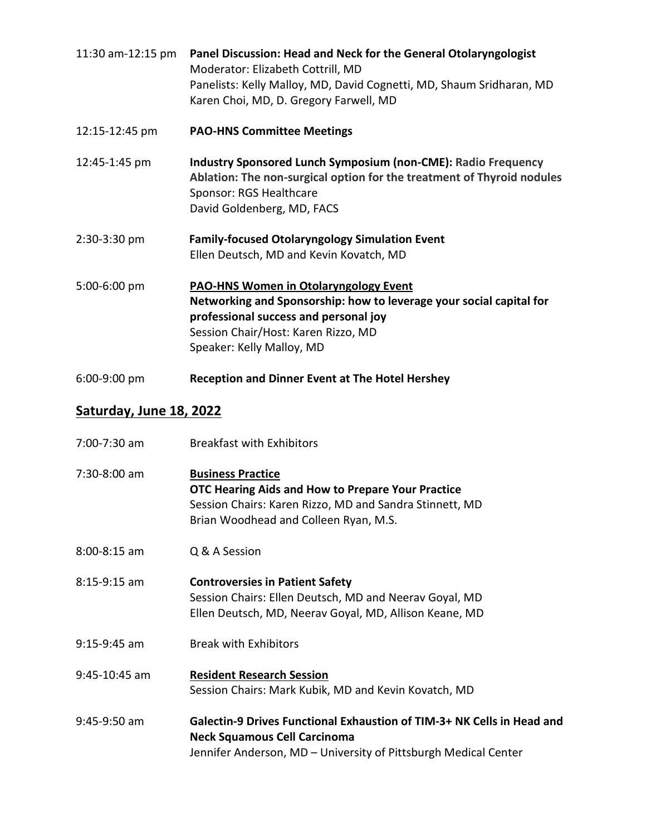| 11:30 am-12:15 pm | Panel Discussion: Head and Neck for the General Otolaryngologist<br>Moderator: Elizabeth Cottrill, MD                                                                                                                            |
|-------------------|----------------------------------------------------------------------------------------------------------------------------------------------------------------------------------------------------------------------------------|
|                   | Panelists: Kelly Malloy, MD, David Cognetti, MD, Shaum Sridharan, MD<br>Karen Choi, MD, D. Gregory Farwell, MD                                                                                                                   |
| 12:15-12:45 pm    | <b>PAO-HNS Committee Meetings</b>                                                                                                                                                                                                |
| 12:45-1:45 pm     | <b>Industry Sponsored Lunch Symposium (non-CME): Radio Frequency</b><br>Ablation: The non-surgical option for the treatment of Thyroid nodules<br>Sponsor: RGS Healthcare<br>David Goldenberg, MD, FACS                          |
| 2:30-3:30 pm      | <b>Family-focused Otolaryngology Simulation Event</b><br>Ellen Deutsch, MD and Kevin Kovatch, MD                                                                                                                                 |
| 5:00-6:00 pm      | <b>PAO-HNS Women in Otolaryngology Event</b><br>Networking and Sponsorship: how to leverage your social capital for<br>professional success and personal joy<br>Session Chair/Host: Karen Rizzo, MD<br>Speaker: Kelly Malloy, MD |
| $6:00-9:00$ pm    | <b>Reception and Dinner Event at The Hotel Hershey</b>                                                                                                                                                                           |

## **Saturday, June 18, 2022**

| $7:00 - 7:30$ am | <b>Breakfast with Exhibitors</b>                                                                                                                                                  |
|------------------|-----------------------------------------------------------------------------------------------------------------------------------------------------------------------------------|
| 7:30-8:00 am     | <b>Business Practice</b><br>OTC Hearing Aids and How to Prepare Your Practice<br>Session Chairs: Karen Rizzo, MD and Sandra Stinnett, MD<br>Brian Woodhead and Colleen Ryan, M.S. |
| $8:00 - 8:15$ am | Q & A Session                                                                                                                                                                     |
| $8:15-9:15$ am   | <b>Controversies in Patient Safety</b><br>Session Chairs: Ellen Deutsch, MD and Neerav Goyal, MD<br>Ellen Deutsch, MD, Neerav Goyal, MD, Allison Keane, MD                        |
| $9:15-9:45$ am   | <b>Break with Exhibitors</b>                                                                                                                                                      |
| 9:45-10:45 am    | <b>Resident Research Session</b><br>Session Chairs: Mark Kubik, MD and Kevin Kovatch, MD                                                                                          |
| $9:45-9:50$ am   | Galectin-9 Drives Functional Exhaustion of TIM-3+ NK Cells in Head and<br><b>Neck Squamous Cell Carcinoma</b><br>Jennifer Anderson, MD - University of Pittsburgh Medical Center  |